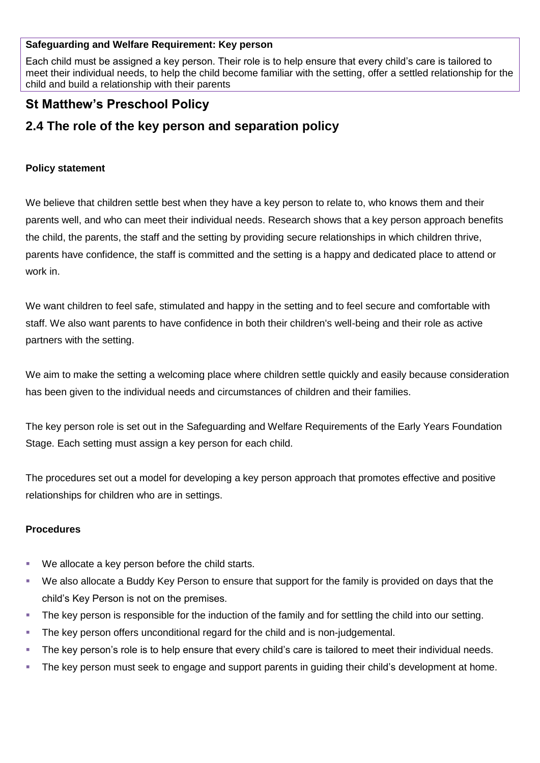#### **Safeguarding and Welfare Requirement: Key person**

Each child must be assigned a key person. Their role is to help ensure that every child's care is tailored to meet their individual needs, to help the child become familiar with the setting, offer a settled relationship for the child and build a relationship with their parents

## **St Matthew's Preschool Policy**

# **2.4 The role of the key person and separation policy**

## **Policy statement**

We believe that children settle best when they have a key person to relate to, who knows them and their parents well, and who can meet their individual needs. Research shows that a key person approach benefits the child, the parents, the staff and the setting by providing secure relationships in which children thrive, parents have confidence, the staff is committed and the setting is a happy and dedicated place to attend or work in.

We want children to feel safe, stimulated and happy in the setting and to feel secure and comfortable with staff. We also want parents to have confidence in both their children's well-being and their role as active partners with the setting.

We aim to make the setting a welcoming place where children settle quickly and easily because consideration has been given to the individual needs and circumstances of children and their families.

The key person role is set out in the Safeguarding and Welfare Requirements of the Early Years Foundation Stage. Each setting must assign a key person for each child.

The procedures set out a model for developing a key person approach that promotes effective and positive relationships for children who are in settings.

## **Procedures**

- We allocate a key person before the child starts.
- We also allocate a Buddy Key Person to ensure that support for the family is provided on days that the child's Key Person is not on the premises.
- The key person is responsible for the induction of the family and for settling the child into our setting.
- The key person offers unconditional regard for the child and is non-judgemental.
- The key person's role is to help ensure that every child's care is tailored to meet their individual needs.
- The key person must seek to engage and support parents in guiding their child's development at home.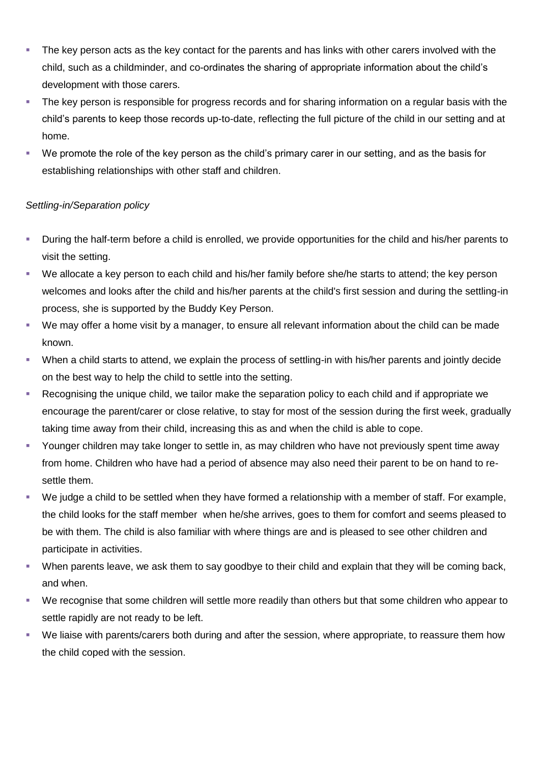- The key person acts as the key contact for the parents and has links with other carers involved with the child, such as a childminder, and co-ordinates the sharing of appropriate information about the child's development with those carers.
- The key person is responsible for progress records and for sharing information on a regular basis with the child's parents to keep those records up-to-date, reflecting the full picture of the child in our setting and at home.
- We promote the role of the key person as the child's primary carer in our setting, and as the basis for establishing relationships with other staff and children.

### *Settling-in/Separation policy*

- During the half-term before a child is enrolled, we provide opportunities for the child and his/her parents to visit the setting.
- We allocate a key person to each child and his/her family before she/he starts to attend; the key person welcomes and looks after the child and his/her parents at the child's first session and during the settling-in process, she is supported by the Buddy Key Person.
- We may offer a home visit by a manager, to ensure all relevant information about the child can be made known.
- When a child starts to attend, we explain the process of settling-in with his/her parents and jointly decide on the best way to help the child to settle into the setting.
- Recognising the unique child, we tailor make the separation policy to each child and if appropriate we encourage the parent/carer or close relative, to stay for most of the session during the first week, gradually taking time away from their child, increasing this as and when the child is able to cope.
- Younger children may take longer to settle in, as may children who have not previously spent time away from home. Children who have had a period of absence may also need their parent to be on hand to resettle them.
- We judge a child to be settled when they have formed a relationship with a member of staff. For example, the child looks for the staff member when he/she arrives, goes to them for comfort and seems pleased to be with them. The child is also familiar with where things are and is pleased to see other children and participate in activities.
- When parents leave, we ask them to say goodbye to their child and explain that they will be coming back, and when.
- We recognise that some children will settle more readily than others but that some children who appear to settle rapidly are not ready to be left.
- We liaise with parents/carers both during and after the session, where appropriate, to reassure them how the child coped with the session.